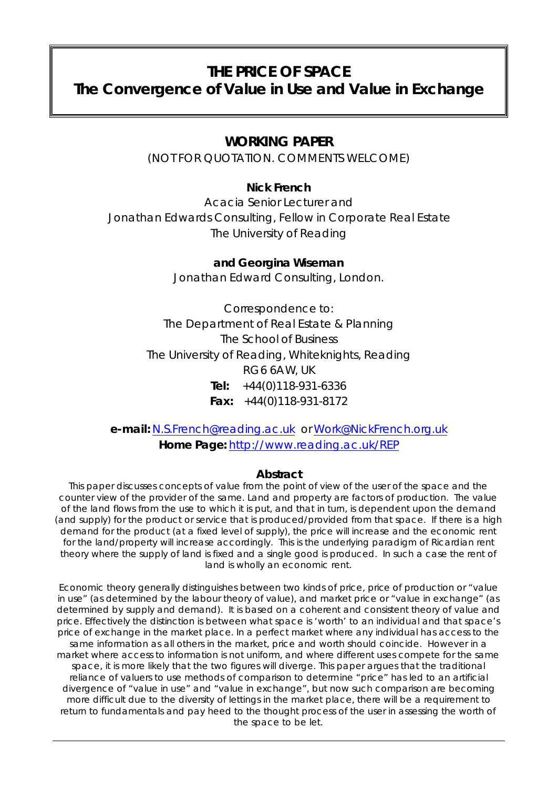# *THE PRICE OF SPACE The Convergence of Value in Use and Value in Exchange*

# **WORKING PAPER**

(NOT FOR QUOTATION. COMMENTS WELCOME)

### **Nick French**

Acacia Senior Lecturer and Jonathan Edwards Consulting, Fellow in Corporate Real Estate The University of Reading

#### **and Georgina Wiseman**

Jonathan Edward Consulting, London.

Correspondence to: The Department of Real Estate & Planning The School of Business The University of Reading, Whiteknights, Reading RG6 6AW, UK **Tel:** +44(0)118-931-6336 **Fax:** +44(0)118-931-8172

**e-mail:** N.S.French@reading.ac.uk or Work@NickFrench.org.uk **Home Page***:* http://www.reading.ac.uk/REP

#### **Abstract**

*This paper discusses concepts of value from the point of view of the user of the space and the counter view of the provider of the same. Land and property are factors of production. The value of the land flows from the use to which it is put, and that in turn, is dependent upon the demand (and supply) for the product or service that is produced/provided from that space. If there is a high*  demand for the product (at a fixed level of supply), the price will increase and the economic rent for the land/property will increase accordingly. This is the underlying paradigm of Ricardian rent theory where the supply of land is fixed and a single good is produced. In such a case the rent of *land is wholly an economic rent.*

*Economic theory generally distinguishes between two kinds of price, price of production or "value in use" (as determined by the labour theory of value), and market price or "value in exchange" (as determined by supply and demand). It is based on a coherent and consistent theory of value and price. Effectively the distinction is between what space is 'worth' to an individual and that space's price of exchange in the market place. In a perfect market where any individual has access to the*  same information as all others in the market, price and worth should coincide. However in a *market where access to information is not uniform, and where different uses compete for the same* space, it is more likely that the two figures will diverge. This paper argues that the traditional *reliance of valuers to use methods of comparison to determine "price" has led to an artificial divergence of "value in use" and "value in exchange", but now such comparison are becoming more difficult due to the diversity of lettings in the market place, there will be a requirement to*  return to fundamentals and pay heed to the thought process of the user in assessing the worth of *the space to be let.*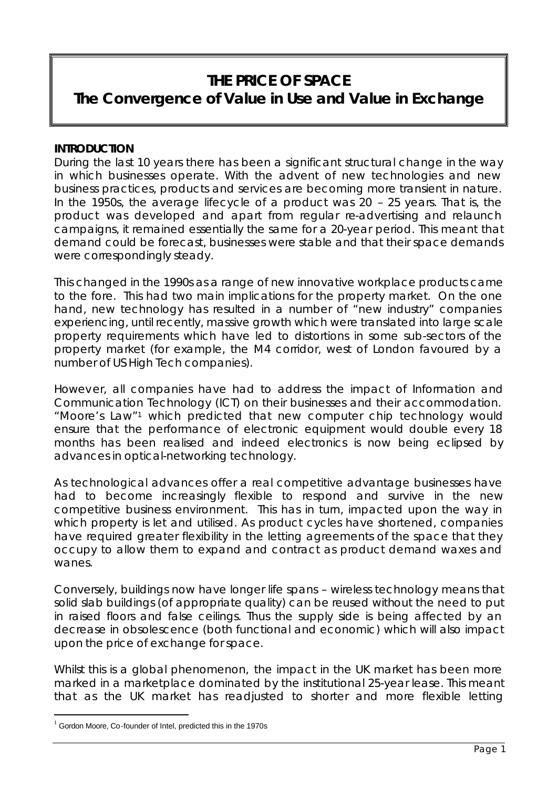# *THE PRICE OF SPACE The Convergence of Value in Use and Value in Exchange*

#### **INTRODUCTION**

During the last 10 years there has been a significant structural change in the way in which businesses operate. With the advent of new technologies and new business practices, products and services are becoming more transient in nature. In the 1950s, the average lifecycle of a product was 20 – 25 years. That is, the product was developed and apart from regular re-advertising and relaunch campaigns, it remained essentially the same for a 20-year period. This meant that demand could be forecast, businesses were stable and that their space demands were correspondingly steady.

This changed in the 1990s as a range of new innovative workplace products came to the fore. This had two main implications for the property market. On the one hand, new technology has resulted in a number of "new industry" companies experiencing, until recently, massive growth which were translated into large scale property requirements which have led to distortions in some sub-sectors of the property market (for example, the M4 corridor, west of London favoured by a number of US High Tech companies).

However, all companies have had to address the impact of Information and Communication Technology (ICT) on their businesses and their accommodation. "Moore's Law"1 which predicted that new computer chip technology would ensure that the performance of electronic equipment would double every 18 months has been realised and indeed electronics is now being eclipsed by advances in optical-networking technology.

As technological advances offer a real competitive advantage businesses have had to become increasingly flexible to respond and survive in the new competitive business environment. This has in turn, impacted upon the way in which property is let and utilised. As product cycles have shortened, companies have required greater flexibility in the letting agreements of the space that they occupy to allow them to expand and contract as product demand waxes and wanes.

Conversely, buildings now have longer life spans – wireless technology means that solid slab buildings (of appropriate quality) can be reused without the need to put in raised floors and false ceilings. Thus the supply side is being affected by an decrease in obsolescence (both functional and economic) which will also impact upon the price of exchange for space.

Whilst this is a global phenomenon, the impact in the UK market has been more marked in a marketplace dominated by the institutional 25-year lease. This meant that as the UK market has readjusted to shorter and more flexible letting

l

 $1$  Gordon Moore, Co-founder of Intel, predicted this in the 1970s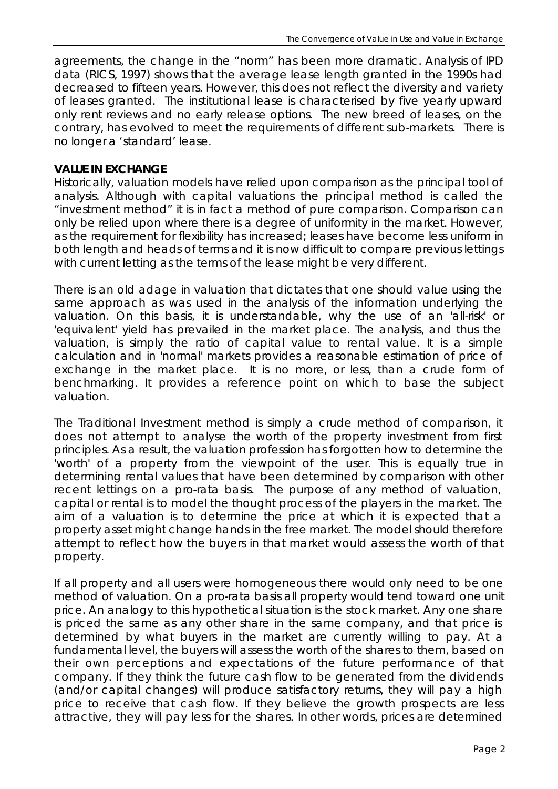agreements, the change in the "norm" has been more dramatic. Analysis of IPD data (RICS, 1997) shows that the average lease length granted in the 1990s had decreased to fifteen years. However, this does not reflect the diversity and variety of leases granted. The institutional lease is characterised by five yearly upward only rent reviews and no early release options. The new breed of leases, on the contrary, has evolved to meet the requirements of different sub-markets. There is no longer a 'standard' lease.

#### **VALUE IN EXCHANGE**

Historically, valuation models have relied upon comparison as the principal tool of analysis. Although with capital valuations the principal method is called the "investment method" it is in fact a method of pure comparison. Comparison can only be relied upon where there is a degree of uniformity in the market. However, as the requirement for flexibility has increased; leases have become less uniform in both length and heads of terms and it is now difficult to compare previous lettings with current letting as the terms of the lease might be very different.

There is an old adage in valuation that dictates that one should value using the same approach as was used in the analysis of the information underlying the valuation. On this basis, it is understandable, why the use of an 'all-risk' or 'equivalent' yield has prevailed in the market place. The analysis, and thus the valuation, is simply the ratio of capital value to rental value. It is a simple calculation and in 'normal' markets provides a reasonable estimation of price of exchange in the market place. It is no more, or less, than a crude form of benchmarking. It provides a reference point on which to base the subject valuation.

The Traditional Investment method is simply a crude method of comparison, it does not attempt to analyse the worth of the property investment from first principles. As a result, the valuation profession has forgotten how to determine the 'worth' of a property from the viewpoint of the user. This is equally true in determining rental values that have been determined by comparison with other recent lettings on a pro-rata basis. The purpose of any method of valuation, capital or rental is to model the thought process of the players in the market. The aim of a valuation is to determine the price at which it is expected that a property asset might change hands in the free market. The model should therefore attempt to reflect how the buyers in that market would assess the worth of that property.

If all property and all users were homogeneous there would only need to be one method of valuation. On a pro-rata basis all property would tend toward one unit price. An analogy to this hypothetical situation is the stock market. Any one share is priced the same as any other share in the same company, and that price is determined by what buyers in the market are currently willing to pay. At a fundamental level, the buyers will assess the worth of the shares to them, based on their own perceptions and expectations of the future performance of that company. If they think the future cash flow to be generated from the dividends (and/or capital changes) will produce satisfactory returns, they will pay a high price to receive that cash flow. If they believe the growth prospects are less attractive, they will pay less for the shares. In other words, prices are determined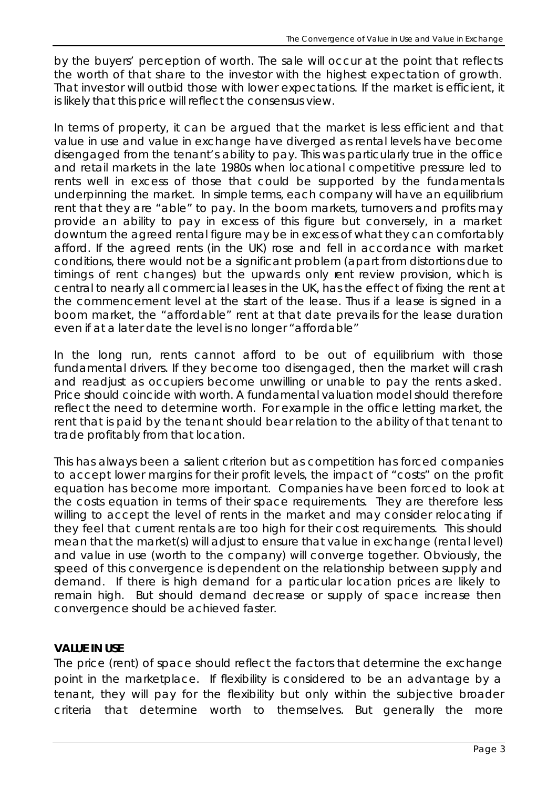by the buyers' perception of worth. The sale will occur at the point that reflects the worth of that share to the investor with the highest expectation of growth. That investor will outbid those with lower expectations. If the market is efficient, it is likely that this price will reflect the consensus view.

In terms of property, it can be argued that the market is less efficient and that value in use and value in exchange have diverged as rental levels have become disengaged from the tenant's ability to pay. This was particularly true in the office and retail markets in the late 1980s when locational competitive pressure led to rents well in excess of those that could be supported by the fundamentals underpinning the market. In simple terms, each company will have an equilibrium rent that they are "able" to pay. In the boom markets, turnovers and profits may provide an ability to pay in excess of this figure but conversely, in a market downturn the agreed rental figure may be in excess of what they can comfortably afford. If the agreed rents (in the UK) rose and fell in accordance with market conditions, there would not be a significant problem (apart from distortions due to timings of rent changes) but the upwards only rent review provision, which is central to nearly all commercial leases in the UK, has the effect of fixing the rent at the commencement level at the start of the lease. Thus if a lease is signed in a boom market, the "affordable" rent at that date prevails for the lease duration even if at a later date the level is no longer "affordable"

In the long run, rents cannot afford to be out of equilibrium with those fundamental drivers. If they become too disengaged, then the market will crash and readjust as occupiers become unwilling or unable to pay the rents asked. Price should coincide with worth. A fundamental valuation model should therefore reflect the need to determine worth. For example in the office letting market, the rent that is paid by the tenant should bear relation to the ability of that tenant to trade profitably from that location.

This has always been a salient criterion but as competition has forced companies to accept lower margins for their profit levels, the impact of "costs" on the profit equation has become more important. Companies have been forced to look at the costs equation in terms of their space requirements. They are therefore less willing to accept the level of rents in the market and may consider relocating if they feel that current rentals are too high for their cost requirements. This should mean that the market(s) will adjust to ensure that value in exchange (rental level) and value in use (worth to the company) will converge together. Obviously, the speed of this convergence is dependent on the relationship between supply and demand. If there is high demand for a particular location prices are likely to remain high. But should demand decrease or supply of space increase then convergence should be achieved faster.

# **VALUE IN USE**

The price (rent) of space should reflect the factors that determine the exchange point in the marketplace. If flexibility is considered to be an advantage by a tenant, they will pay for the flexibility but only within the *subjective* broader criteria that determine worth *to themselves*. But generally the more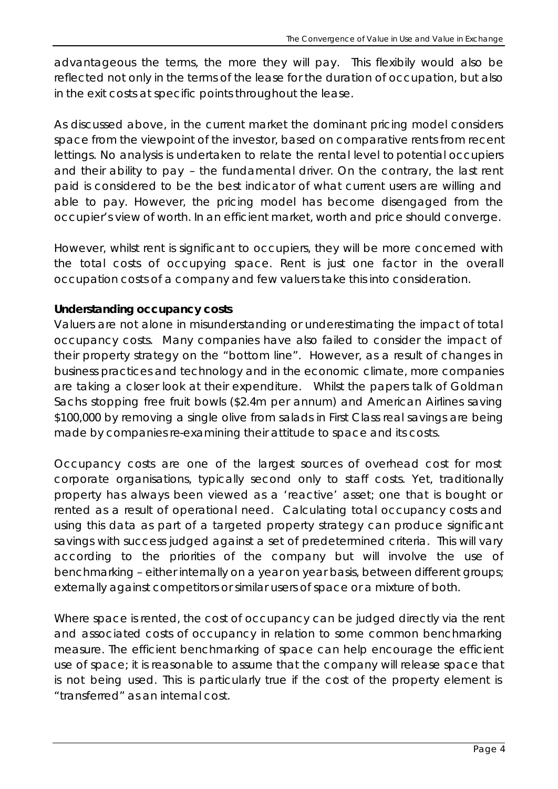advantageous the terms, the more they will pay. This flexibily would also be reflected not only in the terms of the lease for the duration of occupation, but also in the exit costs at specific points throughout the lease.

As discussed above, in the current market the dominant pricing model considers space from the viewpoint of the investor, based on comparative rents from recent lettings. No analysis is undertaken to relate the rental level to potential occupiers and their ability to pay – the fundamental driver. On the contrary, the last rent paid is considered to be the best indicator of what current users are willing and able to pay. However, the pricing model has become disengaged from the occupier's view of worth. In an efficient market, worth and price should converge.

However, whilst rent is significant to occupiers, they will be more concerned with the total costs of occupying space. Rent is just one factor in the overall occupation costs of a company and few valuers take this into consideration.

# *Understanding occupancy costs*

Valuers are not alone in misunderstanding or underestimating the impact of total occupancy costs. Many companies have also failed to consider the impact of their property strategy on the "bottom line". However, as a result of changes in business practices and technology and in the economic climate, more companies are taking a closer look at their expenditure. Whilst the papers talk of Goldman Sachs stopping free fruit bowls (\$2.4m per annum) and American Airlines saving \$100,000 by removing a single olive from salads in First Class real savings are being made by companies re-examining their attitude to space and its costs.

Occupancy costs are one of the largest sources of overhead cost for most corporate organisations, typically second only to staff costs. Yet, traditionally property has always been viewed as a 'reactive' asset; one that is bought or rented as a result of operational need. Calculating total occupancy costs and using this data as part of a targeted property strategy can produce significant savings with success judged against a set of predetermined criteria. This will vary according to the priorities of the company but will involve the use of benchmarking – either internally on a year on year basis, between different groups; externally against competitors or similar users of space or a mixture of both.

Where space is rented, the cost of occupancy can be judged directly via the rent and associated costs of occupancy in relation to some common benchmarking measure. The efficient benchmarking of space can help encourage the efficient use of space; it is reasonable to assume that the company will release space that is not being used. This is particularly true if the cost of the property element is "transferred" as an internal cost.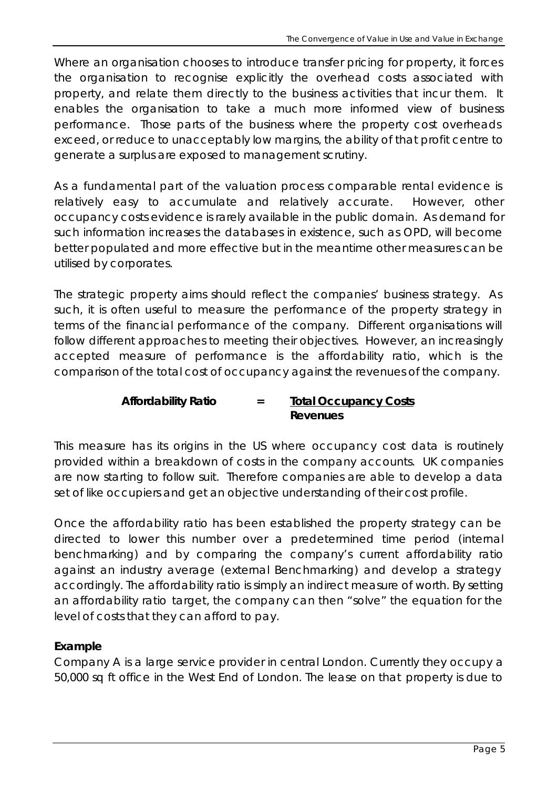Where an organisation chooses to introduce transfer pricing for property, it forces the organisation to recognise explicitly the overhead costs associated with property, and relate them directly to the business activities that incur them. It enables the organisation to take a much more informed view of business performance. Those parts of the business where the property cost overheads exceed, or reduce to unacceptably low margins, the ability of that profit centre to generate a surplus are exposed to management scrutiny.

As a fundamental part of the valuation process comparable rental evidence is relatively easy to accumulate and relatively accurate. However, other occupancy costs evidence is rarely available in the public domain. As demand for such information increases the databases in existence, such as OPD, will become better populated and more effective but in the meantime other measures can be utilised by corporates.

The strategic property aims should reflect the companies' business strategy. As such, it is often useful to measure the performance of the property strategy in terms of the financial performance of the company. Different organisations will follow different approaches to meeting their objectives. However, an increasingly accepted measure of performance is the affordability ratio, which is the comparison of the total cost of occupancy against the revenues of the company.

### **Affordability Ratio = Total Occupancy Costs** *Revenues*

This measure has its origins in the US where occupancy cost data is routinely provided within a breakdown of costs in the company accounts. UK companies are now starting to follow suit. Therefore companies are able to develop a data set of like occupiers and get an objective understanding of their cost profile.

Once the affordability ratio has been established the property strategy can be directed to lower this number over a predetermined time period (internal benchmarking) and by comparing the company's current affordability ratio against an industry average (external Benchmarking) and develop a strategy accordingly. The affordability ratio is simply an indirect measure of worth. By setting an affordability ratio target, the company can then "solve" the equation for the level of costs that they can afford to pay.

# *Example*

Company A is a large service provider in central London. Currently they occupy a 50,000 sq ft office in the West End of London. The lease on that property is due to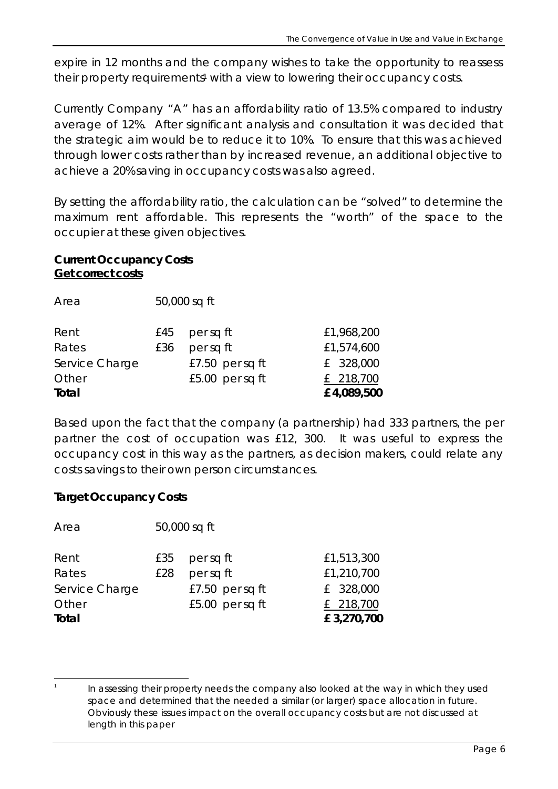expire in 12 months and the company wishes to take the opportunity to reassess their property requirements<sup>1</sup> with a view to lowering their occupancy costs.

Currently Company "A" has an affordability ratio of 13.5% compared to industry average of 12%. After significant analysis and consultation it was decided that the strategic aim would be to reduce it to 10%. To ensure that this was achieved through lower costs rather than by increased revenue, an additional objective to achieve a 20% saving in occupancy costs was also agreed.

By setting the affordability ratio, the calculation can be "solved" to determine the maximum rent affordable. This represents the "worth" of the space to the occupier at these given objectives.

# **Current Occupancy Costs Get correct costs**

| Total          |     |                   | £4,089,500 |
|----------------|-----|-------------------|------------|
| Other          |     | £5.00 persqft     | £ 218,700  |
| Service Charge |     | $£7.50$ per sq ft | £ 328,000  |
| Rates          | £36 | per sq ft         | £1,574,600 |
| Rent           | £45 | per sq ft         | £1,968,200 |
| Area           |     | 50,000 sq ft      |            |

Based upon the fact that the company (a partnership) had 333 partners, the per partner the cost of occupation was £12, 300. It was useful to express the occupancy cost in this way as the partners, as decision makers, could relate any costs savings to their own person circumstances.

# **Target Occupancy Costs**

l

 $Area = 50,000$  sq ft

| Rent           | £35 | per sq ft         | £1,513,300 |
|----------------|-----|-------------------|------------|
| Rates          | £28 | per sq ft         | £1,210,700 |
| Service Charge |     | $£7.50$ per sq ft | £ 328,000  |
| Other          |     | $E5.00$ per sq ft | £ 218,700  |
| Total          |     |                   | £3,270,700 |

<sup>1</sup> In assessing their property needs the company also looked at the way in which they used space and determined that the needed a similar (or larger) space allocation in future. Obviously these issues impact on the overall occupancy costs but are not discussed at length in this paper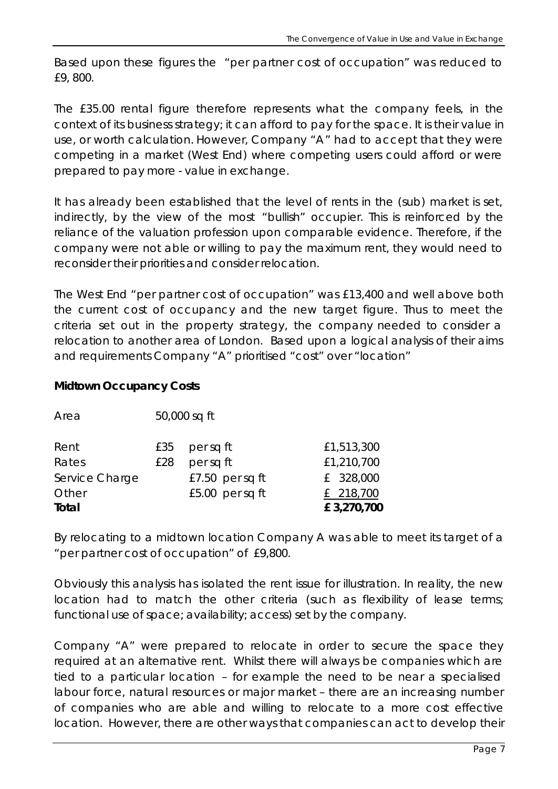Based upon these figures the "per partner cost of occupation" was reduced to £9, 800.

The £35.00 rental figure therefore represents what the company feels, in the context of its business strategy; it can afford to pay for the space. It is their value in use, or worth calculation. However, Company "A" had to accept that they were competing in a market (West End) where competing users could afford or were prepared to pay more - value in exchange.

It has already been established that the level of rents in the (sub) market is set, indirectly, by the view of the most "bullish" occupier. This is reinforced by the reliance of the valuation profession upon comparable evidence. Therefore, if the company were not able or willing to pay the maximum rent, they would need to reconsider their priorities and consider relocation.

The West End "per partner cost of occupation" was £13,400 and well above both the current cost of occupancy and the new target figure. Thus to meet the criteria set out in the property strategy, the company needed to consider a relocation to another area of London. Based upon a logical analysis of their aims and requirements Company "A" prioritised "cost" over "location"

### **Midtown Occupancy Costs**

| £35 | per sq ft         | £1,513,300               |
|-----|-------------------|--------------------------|
| £28 | per sq ft         | £1,210,700               |
|     | $£7.50$ per sq ft | £ 328,000                |
|     | $£5.00$ per sq ft | £ 218,700<br>£ 3,270,700 |
|     |                   | 50,000 sq ft             |

By relocating to a midtown location Company A was able to meet its target of a "per partner cost of occupation" of £9,800.

Obviously this analysis has isolated the rent issue for illustration. In reality, the new location had to match the other criteria (such as flexibility of lease terms; functional use of space; availability; access) set by the company.

Company "A" were prepared to relocate in order to secure the space they required at an alternative rent. Whilst there will always be companies which are tied to a particular location – for example the need to be near a specialised labour force, natural resources or major market – there are an increasing number of companies who are able and willing to relocate to a more cost effective location. However, there are other ways that companies can act to develop their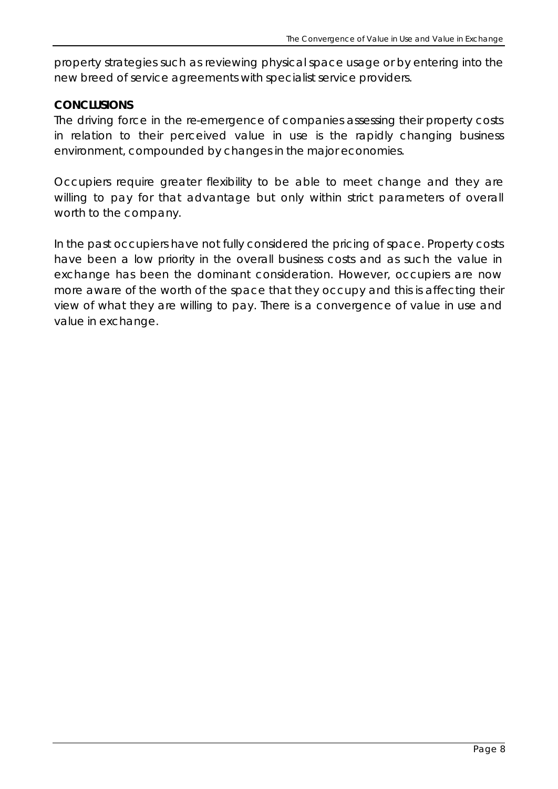property strategies such as reviewing physical space usage or by entering into the new breed of service agreements with specialist service providers.

## **CONCLUSIONS**

The driving force in the re-emergence of companies assessing their property costs in relation to their perceived value in use is the rapidly changing business environment, compounded by changes in the major economies.

Occupiers require greater flexibility to be able to meet change and they are willing to pay for that advantage but only within strict parameters of overall worth to the company.

In the past occupiers have not fully considered the pricing of space. Property costs have been a low priority in the overall business costs and as such the value in exchange has been the dominant consideration. However, occupiers are now more aware of the worth of the space that they occupy and this is affecting their view of what they are willing to pay. There is a convergence of value in use and value in exchange.